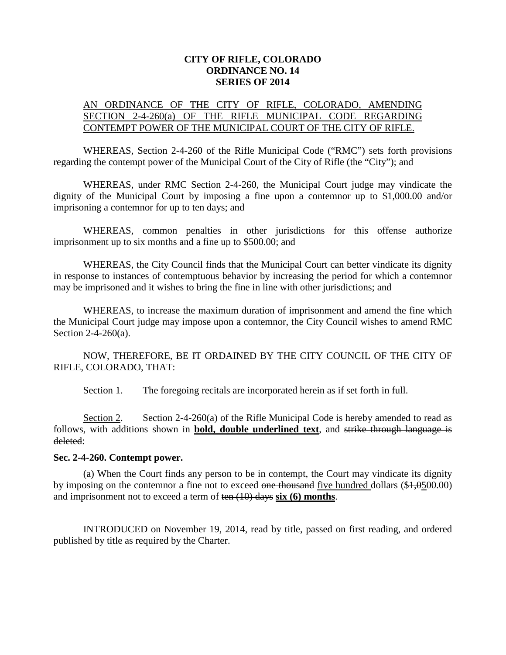## **CITY OF RIFLE, COLORADO ORDINANCE NO. 14 SERIES OF 2014**

## AN ORDINANCE OF THE CITY OF RIFLE, COLORADO, AMENDING SECTION 2-4-260(a) OF THE RIFLE MUNICIPAL CODE REGARDING CONTEMPT POWER OF THE MUNICIPAL COURT OF THE CITY OF RIFLE.

WHEREAS, Section 2-4-260 of the Rifle Municipal Code ("RMC") sets forth provisions regarding the contempt power of the Municipal Court of the City of Rifle (the "City"); and

WHEREAS, under RMC Section 2-4-260, the Municipal Court judge may vindicate the dignity of the Municipal Court by imposing a fine upon a contemnor up to \$1,000.00 and/or imprisoning a contemnor for up to ten days; and

WHEREAS, common penalties in other jurisdictions for this offense authorize imprisonment up to six months and a fine up to \$500.00; and

WHEREAS, the City Council finds that the Municipal Court can better vindicate its dignity in response to instances of contemptuous behavior by increasing the period for which a contemnor may be imprisoned and it wishes to bring the fine in line with other jurisdictions; and

WHEREAS, to increase the maximum duration of imprisonment and amend the fine which the Municipal Court judge may impose upon a contemnor, the City Council wishes to amend RMC Section 2-4-260(a).

NOW, THEREFORE, BE IT ORDAINED BY THE CITY COUNCIL OF THE CITY OF RIFLE, COLORADO, THAT:

Section 1. The foregoing recitals are incorporated herein as if set forth in full.

Section 2. Section 2-4-260(a) of the Rifle Municipal Code is hereby amended to read as follows, with additions shown in **bold, double underlined text**, and strike through language is deleted:

## **Sec. 2-4-260. Contempt power.**

(a) When the Court finds any person to be in contempt, the Court may vindicate its dignity by imposing on the contemnor a fine not to exceed one thousand five hundred dollars (\$4,0500.00) and imprisonment not to exceed a term of ten (10) days **six (6) months**.

INTRODUCED on November 19, 2014, read by title, passed on first reading, and ordered published by title as required by the Charter.